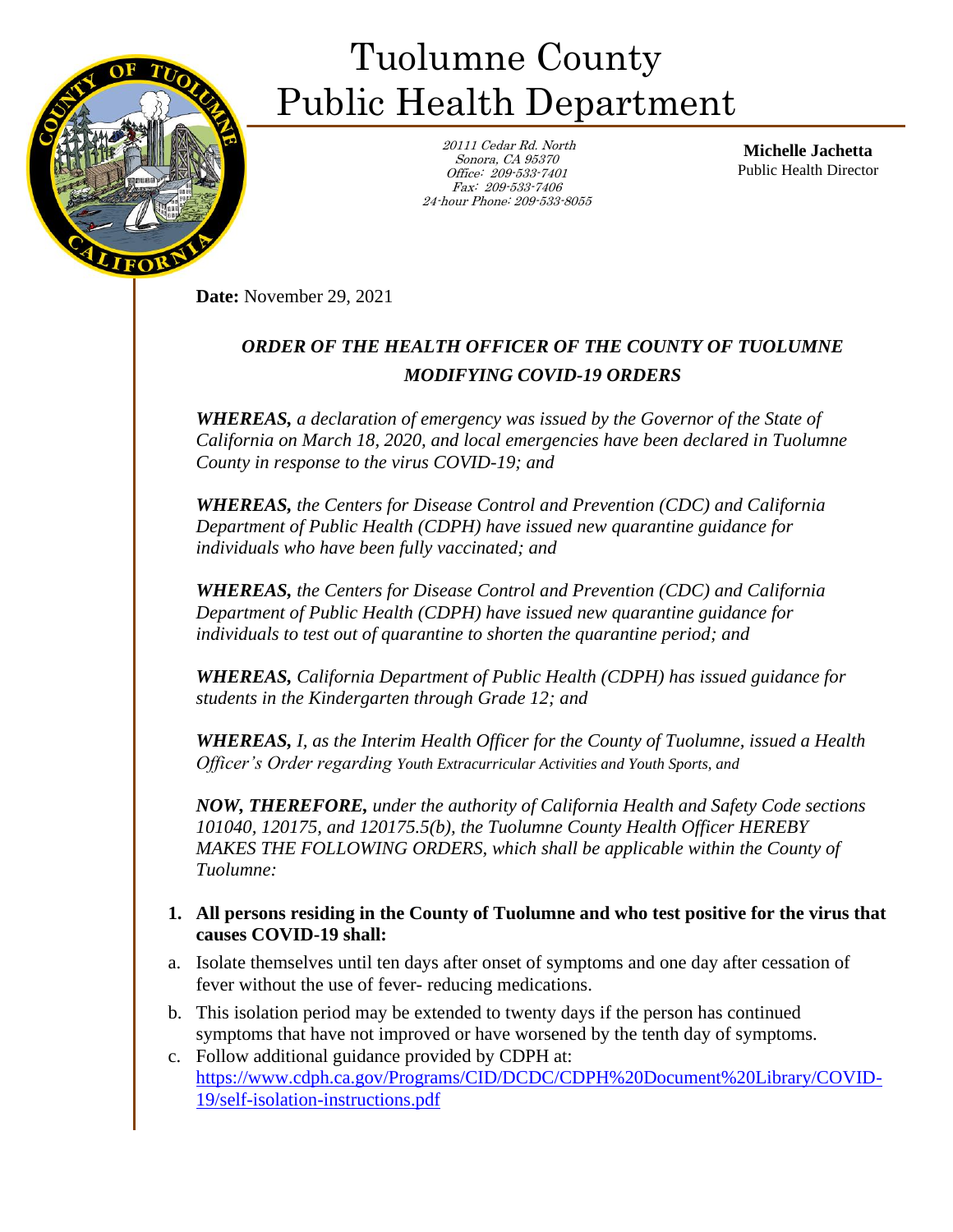

## Tuolumne County Public Health Department

 20111 Cedar Rd. North Sonora, CA 95370 Office: 209-533-7401 Fax: 209-533-7406 24-hour Phone: 209-533-8055

**Michelle Jachetta** Public Health Director

**Date:** November 29, 2021

## *ORDER OF THE HEALTH OFFICER OF THE COUNTY OF TUOLUMNE MODIFYING COVID-19 ORDERS*

*WHEREAS, a declaration of emergency was issued by the Governor of the State of California on March 18, 2020, and local emergencies have been declared in Tuolumne County in response to the virus COVID-19; and*

*WHEREAS, the Centers for Disease Control and Prevention (CDC) and California Department of Public Health (CDPH) have issued new quarantine guidance for individuals who have been fully vaccinated; and* 

*WHEREAS, the Centers for Disease Control and Prevention (CDC) and California Department of Public Health (CDPH) have issued new quarantine guidance for individuals to test out of quarantine to shorten the quarantine period; and* 

*WHEREAS, California Department of Public Health (CDPH) has issued guidance for students in the Kindergarten through Grade 12; and* 

*WHEREAS, I, as the Interim Health Officer for the County of Tuolumne, issued a Health Officer's Order regarding Youth Extracurricular Activities and Youth Sports, and*

*NOW, THEREFORE, under the authority of California Health and Safety Code sections 101040, 120175, and 120175.5(b), the Tuolumne County Health Officer HEREBY MAKES THE FOLLOWING ORDERS, which shall be applicable within the County of Tuolumne:*

## **1. All persons residing in the County of Tuolumne and who test positive for the virus that causes COVID-19 shall:**

- a. Isolate themselves until ten days after onset of symptoms and one day after cessation of fever without the use of fever- reducing medications.
- b. This isolation period may be extended to twenty days if the person has continued symptoms that have not improved or have worsened by the tenth day of symptoms.
- c. Follow additional guidance provided by CDPH at: [https://www.cdph.ca.gov/Programs/CID/DCDC/CDPH%20Document%20Library/COVID-](https://www.cdph.ca.gov/Programs/CID/DCDC/CDPH%20Document%20Library/COVID-19/self-isolation-instructions.pdf)[19/self-isolation-instructions.pdf](https://www.cdph.ca.gov/Programs/CID/DCDC/CDPH%20Document%20Library/COVID-19/self-isolation-instructions.pdf)